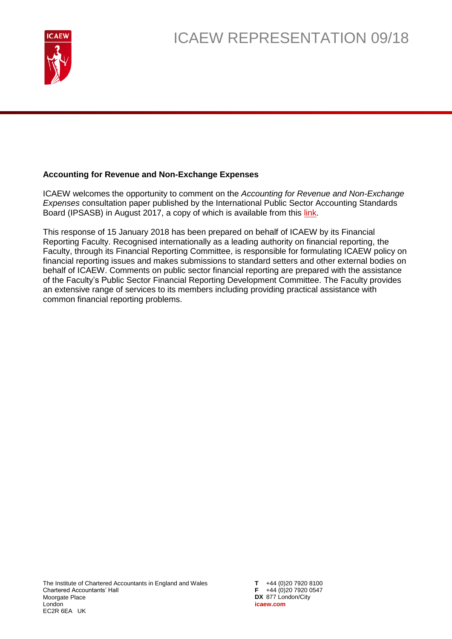

## **Accounting for Revenue and Non-Exchange Expenses**

ICAEW welcomes the opportunity to comment on the *Accounting for Revenue and Non-Exchange Expenses* consultation paper published by the International Public Sector Accounting Standards Board (IPSASB) in August 2017, a copy of which is available from this [link.](http://www.ifac.org/publications-resources/accounting-revenue-and-non-exchange-expenses)

This response of 15 January 2018 has been prepared on behalf of ICAEW by its Financial Reporting Faculty. Recognised internationally as a leading authority on financial reporting, the Faculty, through its Financial Reporting Committee, is responsible for formulating ICAEW policy on financial reporting issues and makes submissions to standard setters and other external bodies on behalf of ICAEW. Comments on public sector financial reporting are prepared with the assistance of the Faculty's Public Sector Financial Reporting Development Committee. The Faculty provides an extensive range of services to its members including providing practical assistance with common financial reporting problems.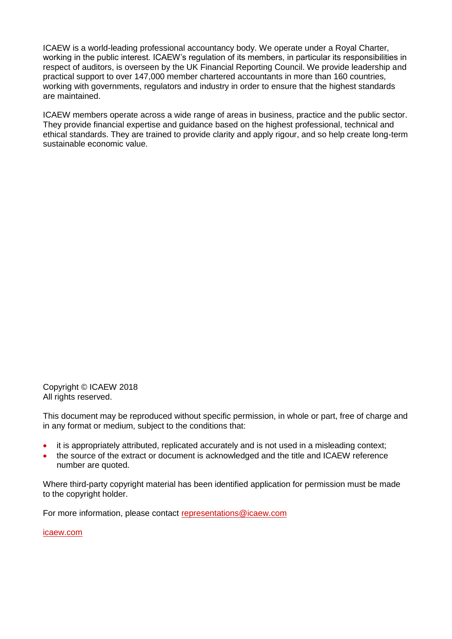ICAEW is a world-leading professional accountancy body. We operate under a Royal Charter, working in the public interest. ICAEW's regulation of its members, in particular its responsibilities in respect of auditors, is overseen by the UK Financial Reporting Council. We provide leadership and practical support to over 147,000 member chartered accountants in more than 160 countries, working with governments, regulators and industry in order to ensure that the highest standards are maintained.

ICAEW members operate across a wide range of areas in business, practice and the public sector. They provide financial expertise and guidance based on the highest professional, technical and ethical standards. They are trained to provide clarity and apply rigour, and so help create long-term sustainable economic value.

Copyright © ICAEW 2018 All rights reserved.

This document may be reproduced without specific permission, in whole or part, free of charge and in any format or medium, subject to the conditions that:

- it is appropriately attributed, replicated accurately and is not used in a misleading context;
- the source of the extract or document is acknowledged and the title and ICAEW reference number are quoted.

Where third-party copyright material has been identified application for permission must be made to the copyright holder.

For more information, please contact [representations@icaew.com](mailto:representations@icaew.com)

[icaew.com](http://www.icaew.com/)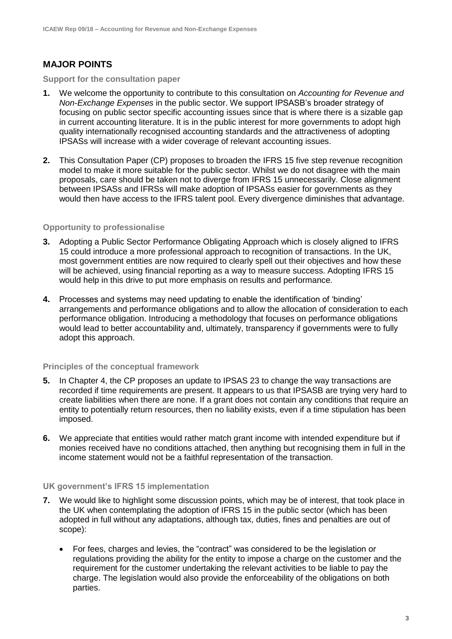# **MAJOR POINTS**

#### **Support for the consultation paper**

- **1.** We welcome the opportunity to contribute to this consultation on *Accounting for Revenue and Non-Exchange Expenses* in the public sector. We support IPSASB's broader strategy of focusing on public sector specific accounting issues since that is where there is a sizable gap in current accounting literature. It is in the public interest for more governments to adopt high quality internationally recognised accounting standards and the attractiveness of adopting IPSASs will increase with a wider coverage of relevant accounting issues.
- **2.** This Consultation Paper (CP) proposes to broaden the IFRS 15 five step revenue recognition model to make it more suitable for the public sector. Whilst we do not disagree with the main proposals, care should be taken not to diverge from IFRS 15 unnecessarily. Close alignment between IPSASs and IFRSs will make adoption of IPSASs easier for governments as they would then have access to the IFRS talent pool. Every divergence diminishes that advantage.

## **Opportunity to professionalise**

- **3.** Adopting a Public Sector Performance Obligating Approach which is closely aligned to IFRS 15 could introduce a more professional approach to recognition of transactions. In the UK, most government entities are now required to clearly spell out their objectives and how these will be achieved, using financial reporting as a way to measure success. Adopting IFRS 15 would help in this drive to put more emphasis on results and performance.
- **4.** Processes and systems may need updating to enable the identification of 'binding' arrangements and performance obligations and to allow the allocation of consideration to each performance obligation. Introducing a methodology that focuses on performance obligations would lead to better accountability and, ultimately, transparency if governments were to fully adopt this approach.

## **Principles of the conceptual framework**

- **5.** In Chapter 4, the CP proposes an update to IPSAS 23 to change the way transactions are recorded if time requirements are present. It appears to us that IPSASB are trying very hard to create liabilities when there are none. If a grant does not contain any conditions that require an entity to potentially return resources, then no liability exists, even if a time stipulation has been imposed.
- **6.** We appreciate that entities would rather match grant income with intended expenditure but if monies received have no conditions attached, then anything but recognising them in full in the income statement would not be a faithful representation of the transaction.

### **UK government's IFRS 15 implementation**

- **7.** We would like to highlight some discussion points, which may be of interest, that took place in the UK when contemplating the adoption of IFRS 15 in the public sector (which has been adopted in full without any adaptations, although tax, duties, fines and penalties are out of scope):
	- For fees, charges and levies, the "contract" was considered to be the legislation or regulations providing the ability for the entity to impose a charge on the customer and the requirement for the customer undertaking the relevant activities to be liable to pay the charge. The legislation would also provide the enforceability of the obligations on both parties.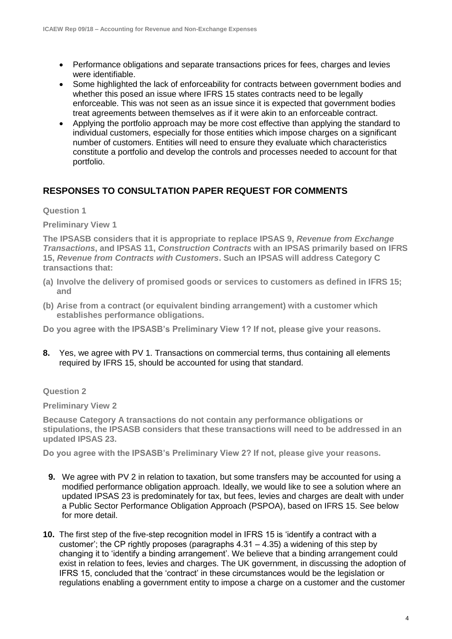- Performance obligations and separate transactions prices for fees, charges and levies were identifiable.
- Some highlighted the lack of enforceability for contracts between government bodies and whether this posed an issue where IFRS 15 states contracts need to be legally enforceable. This was not seen as an issue since it is expected that government bodies treat agreements between themselves as if it were akin to an enforceable contract.
- Applying the portfolio approach may be more cost effective than applying the standard to individual customers, especially for those entities which impose charges on a significant number of customers. Entities will need to ensure they evaluate which characteristics constitute a portfolio and develop the controls and processes needed to account for that portfolio.

# **RESPONSES TO CONSULTATION PAPER REQUEST FOR COMMENTS**

**Question 1**

**Preliminary View 1**

**The IPSASB considers that it is appropriate to replace IPSAS 9,** *Revenue from Exchange Transactions***, and IPSAS 11,** *Construction Contracts* **with an IPSAS primarily based on IFRS 15,** *Revenue from Contracts with Customers***. Such an IPSAS will address Category C transactions that:**

- **(a) Involve the delivery of promised goods or services to customers as defined in IFRS 15; and**
- **(b) Arise from a contract (or equivalent binding arrangement) with a customer which establishes performance obligations.**

**Do you agree with the IPSASB's Preliminary View 1? If not, please give your reasons.**

**8.** Yes, we agree with PV 1. Transactions on commercial terms, thus containing all elements required by IFRS 15, should be accounted for using that standard.

## **Question 2**

**Preliminary View 2**

**Because Category A transactions do not contain any performance obligations or stipulations, the IPSASB considers that these transactions will need to be addressed in an updated IPSAS 23.** 

**Do you agree with the IPSASB's Preliminary View 2? If not, please give your reasons.** 

- **9.** We agree with PV 2 in relation to taxation, but some transfers may be accounted for using a modified performance obligation approach. Ideally, we would like to see a solution where an updated IPSAS 23 is predominately for tax, but fees, levies and charges are dealt with under a Public Sector Performance Obligation Approach (PSPOA), based on IFRS 15. See below for more detail.
- **10.** The first step of the five-step recognition model in IFRS 15 is 'identify a contract with a customer'; the CP rightly proposes (paragraphs  $4.31 - 4.35$ ) a widening of this step by changing it to 'identify a binding arrangement'. We believe that a binding arrangement could exist in relation to fees, levies and charges. The UK government, in discussing the adoption of IFRS 15, concluded that the 'contract' in these circumstances would be the legislation or regulations enabling a government entity to impose a charge on a customer and the customer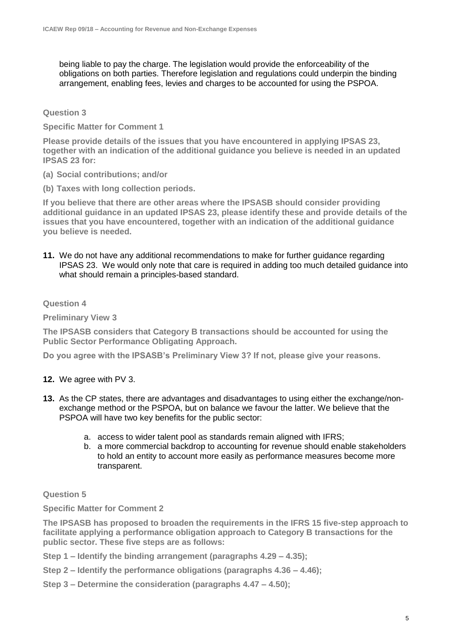being liable to pay the charge. The legislation would provide the enforceability of the obligations on both parties. Therefore legislation and regulations could underpin the binding arrangement, enabling fees, levies and charges to be accounted for using the PSPOA.

**Question 3**

**Specific Matter for Comment 1**

**Please provide details of the issues that you have encountered in applying IPSAS 23, together with an indication of the additional guidance you believe is needed in an updated IPSAS 23 for:** 

- **(a) Social contributions; and/or**
- **(b) Taxes with long collection periods.**

**If you believe that there are other areas where the IPSASB should consider providing additional guidance in an updated IPSAS 23, please identify these and provide details of the issues that you have encountered, together with an indication of the additional guidance you believe is needed.**

**11.** We do not have any additional recommendations to make for further guidance regarding IPSAS 23. We would only note that care is required in adding too much detailed guidance into what should remain a principles-based standard.

**Question 4**

**Preliminary View 3**

**The IPSASB considers that Category B transactions should be accounted for using the Public Sector Performance Obligating Approach.**

**Do you agree with the IPSASB's Preliminary View 3? If not, please give your reasons.** 

- **12.** We agree with PV 3.
- **13.** As the CP states, there are advantages and disadvantages to using either the exchange/nonexchange method or the PSPOA, but on balance we favour the latter. We believe that the PSPOA will have two key benefits for the public sector:
	- a. access to wider talent pool as standards remain aligned with IFRS;
	- b. a more commercial backdrop to accounting for revenue should enable stakeholders to hold an entity to account more easily as performance measures become more transparent.

## **Question 5**

**Specific Matter for Comment 2**

**The IPSASB has proposed to broaden the requirements in the IFRS 15 five-step approach to facilitate applying a performance obligation approach to Category B transactions for the public sector. These five steps are as follows:** 

**Step 1 – Identify the binding arrangement (paragraphs 4.29 – 4.35);**

- **Step 2 – Identify the performance obligations (paragraphs 4.36 – 4.46);**
- **Step 3 – Determine the consideration (paragraphs 4.47 – 4.50);**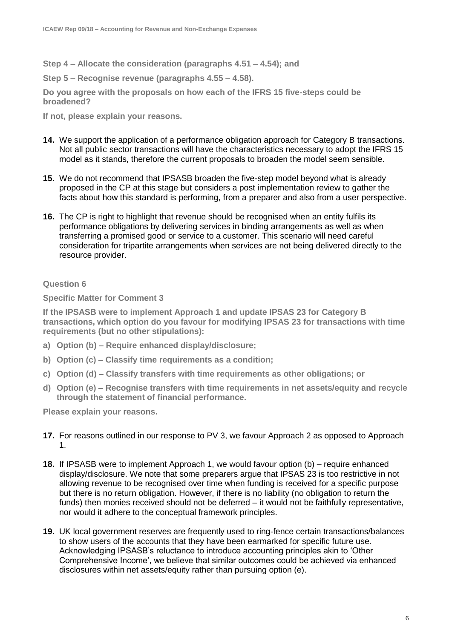**Step 4 – Allocate the consideration (paragraphs 4.51 – 4.54); and** 

**Step 5 – Recognise revenue (paragraphs 4.55 – 4.58).** 

**Do you agree with the proposals on how each of the IFRS 15 five-steps could be broadened?** 

**If not, please explain your reasons.** 

- **14.** We support the application of a performance obligation approach for Category B transactions. Not all public sector transactions will have the characteristics necessary to adopt the IFRS 15 model as it stands, therefore the current proposals to broaden the model seem sensible.
- **15.** We do not recommend that IPSASB broaden the five-step model beyond what is already proposed in the CP at this stage but considers a post implementation review to gather the facts about how this standard is performing, from a preparer and also from a user perspective.
- **16.** The CP is right to highlight that revenue should be recognised when an entity fulfils its performance obligations by delivering services in binding arrangements as well as when transferring a promised good or service to a customer. This scenario will need careful consideration for tripartite arrangements when services are not being delivered directly to the resource provider.

## **Question 6**

**Specific Matter for Comment 3**

**If the IPSASB were to implement Approach 1 and update IPSAS 23 for Category B transactions, which option do you favour for modifying IPSAS 23 for transactions with time requirements (but no other stipulations):**

- **a) Option (b) – Require enhanced display/disclosure;**
- **b) Option (c) – Classify time requirements as a condition;**
- **c) Option (d) – Classify transfers with time requirements as other obligations; or**
- **d) Option (e) – Recognise transfers with time requirements in net assets/equity and recycle through the statement of financial performance.**

**Please explain your reasons.** 

- **17.** For reasons outlined in our response to PV 3, we favour Approach 2 as opposed to Approach 1.
- **18.** If IPSASB were to implement Approach 1, we would favour option (b) require enhanced display/disclosure. We note that some preparers argue that IPSAS 23 is too restrictive in not allowing revenue to be recognised over time when funding is received for a specific purpose but there is no return obligation. However, if there is no liability (no obligation to return the funds) then monies received should not be deferred – it would not be faithfully representative, nor would it adhere to the conceptual framework principles.
- **19.** UK local government reserves are frequently used to ring-fence certain transactions/balances to show users of the accounts that they have been earmarked for specific future use. Acknowledging IPSASB's reluctance to introduce accounting principles akin to 'Other Comprehensive Income', we believe that similar outcomes could be achieved via enhanced disclosures within net assets/equity rather than pursuing option (e).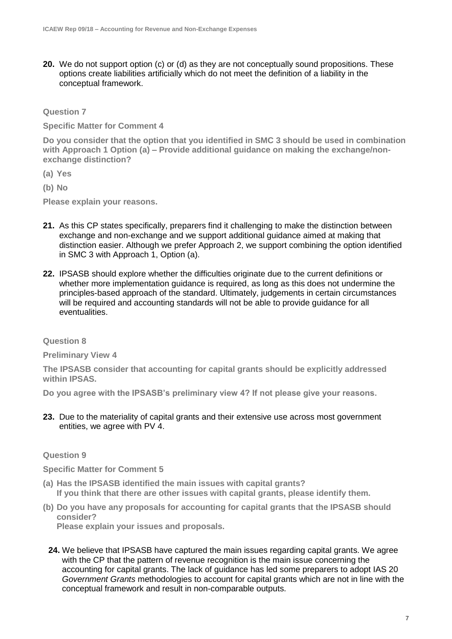**20.** We do not support option (c) or (d) as they are not conceptually sound propositions. These options create liabilities artificially which do not meet the definition of a liability in the conceptual framework.

**Question 7**

**Specific Matter for Comment 4**

**Do you consider that the option that you identified in SMC 3 should be used in combination with Approach 1 Option (a) – Provide additional guidance on making the exchange/nonexchange distinction?**

- **(a) Yes**
- **(b) No**

**Please explain your reasons.** 

- **21.** As this CP states specifically, preparers find it challenging to make the distinction between exchange and non-exchange and we support additional guidance aimed at making that distinction easier. Although we prefer Approach 2, we support combining the option identified in SMC 3 with Approach 1, Option (a).
- **22.** IPSASB should explore whether the difficulties originate due to the current definitions or whether more implementation guidance is required, as long as this does not undermine the principles-based approach of the standard. Ultimately, judgements in certain circumstances will be required and accounting standards will not be able to provide guidance for all eventualities.

#### **Question 8**

**Preliminary View 4**

**The IPSASB consider that accounting for capital grants should be explicitly addressed within IPSAS.** 

**Do you agree with the IPSASB's preliminary view 4? If not please give your reasons.** 

**23.** Due to the materiality of capital grants and their extensive use across most government entities, we agree with PV 4.

## **Question 9**

**Specific Matter for Comment 5**

- **(a) Has the IPSASB identified the main issues with capital grants? If you think that there are other issues with capital grants, please identify them.**
- **(b) Do you have any proposals for accounting for capital grants that the IPSASB should consider? Please explain your issues and proposals.** 
	- **24.** We believe that IPSASB have captured the main issues regarding capital grants. We agree with the CP that the pattern of revenue recognition is the main issue concerning the accounting for capital grants. The lack of guidance has led some preparers to adopt IAS 20 *Government Grants* methodologies to account for capital grants which are not in line with the conceptual framework and result in non-comparable outputs.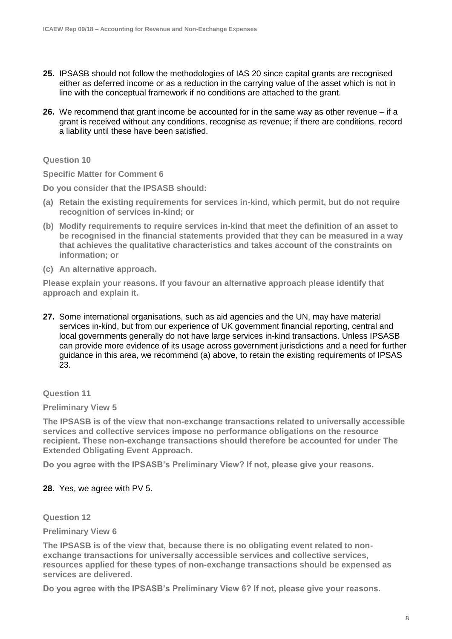- **25.** IPSASB should not follow the methodologies of IAS 20 since capital grants are recognised either as deferred income or as a reduction in the carrying value of the asset which is not in line with the conceptual framework if no conditions are attached to the grant.
- **26.** We recommend that grant income be accounted for in the same way as other revenue if a grant is received without any conditions, recognise as revenue; if there are conditions, record a liability until these have been satisfied.

### **Question 10**

**Specific Matter for Comment 6**

**Do you consider that the IPSASB should:** 

- **(a) Retain the existing requirements for services in-kind, which permit, but do not require recognition of services in-kind; or**
- **(b) Modify requirements to require services in-kind that meet the definition of an asset to be recognised in the financial statements provided that they can be measured in a way that achieves the qualitative characteristics and takes account of the constraints on information; or**
- **(c) An alternative approach.**

**Please explain your reasons. If you favour an alternative approach please identify that approach and explain it.** 

**27.** Some international organisations, such as aid agencies and the UN, may have material services in-kind, but from our experience of UK government financial reporting, central and local governments generally do not have large services in-kind transactions. Unless IPSASB can provide more evidence of its usage across government jurisdictions and a need for further guidance in this area, we recommend (a) above, to retain the existing requirements of IPSAS 23.

## **Question 11**

#### **Preliminary View 5**

**The IPSASB is of the view that non-exchange transactions related to universally accessible services and collective services impose no performance obligations on the resource recipient. These non-exchange transactions should therefore be accounted for under The Extended Obligating Event Approach.** 

**Do you agree with the IPSASB's Preliminary View? If not, please give your reasons.** 

## **28.** Yes, we agree with PV 5.

**Question 12**

#### **Preliminary View 6**

**The IPSASB is of the view that, because there is no obligating event related to nonexchange transactions for universally accessible services and collective services, resources applied for these types of non-exchange transactions should be expensed as services are delivered.** 

**Do you agree with the IPSASB's Preliminary View 6? If not, please give your reasons.**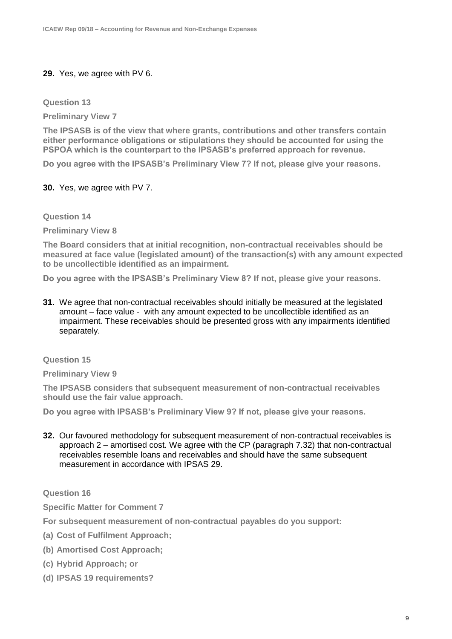# **29.** Yes, we agree with PV 6.

**Question 13**

**Preliminary View 7**

**The IPSASB is of the view that where grants, contributions and other transfers contain either performance obligations or stipulations they should be accounted for using the PSPOA which is the counterpart to the IPSASB's preferred approach for revenue.** 

**Do you agree with the IPSASB's Preliminary View 7? If not, please give your reasons.** 

## **30.** Yes, we agree with PV 7.

**Question 14**

**Preliminary View 8**

**The Board considers that at initial recognition, non-contractual receivables should be measured at face value (legislated amount) of the transaction(s) with any amount expected to be uncollectible identified as an impairment.** 

**Do you agree with the IPSASB's Preliminary View 8? If not, please give your reasons.** 

**31.** We agree that non-contractual receivables should initially be measured at the legislated amount – face value - with any amount expected to be uncollectible identified as an impairment. These receivables should be presented gross with any impairments identified separately.

**Question 15**

**Preliminary View 9**

**The IPSASB considers that subsequent measurement of non-contractual receivables should use the fair value approach.** 

**Do you agree with IPSASB's Preliminary View 9? If not, please give your reasons.** 

**32.** Our favoured methodology for subsequent measurement of non-contractual receivables is approach 2 – amortised cost. We agree with the CP (paragraph 7.32) that non-contractual receivables resemble loans and receivables and should have the same subsequent measurement in accordance with IPSAS 29.

**Question 16**

**Specific Matter for Comment 7**

**For subsequent measurement of non-contractual payables do you support:** 

- **(a) Cost of Fulfilment Approach;**
- **(b) Amortised Cost Approach;**
- **(c) Hybrid Approach; or**
- **(d) IPSAS 19 requirements?**